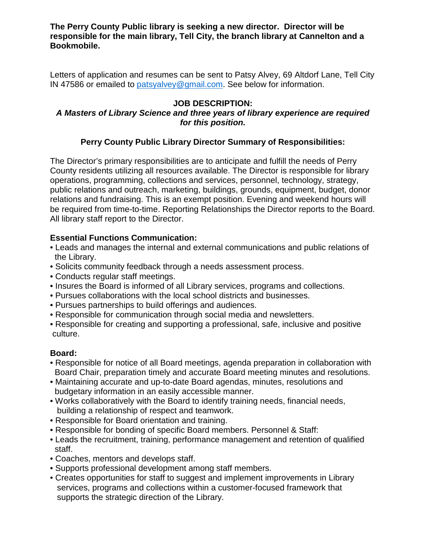**The Perry County Public library is seeking a new director. Director will be responsible for the main library, Tell City, the branch library at Cannelton and a Bookmobile.**

Letters of application and resumes can be sent to Patsy Alvey, 69 Altdorf Lane, Tell City IN 47586 or emailed to [patsyalvey@gmail.com.](javascript:void(0);) See below for information.

### **JOB DESCRIPTION:**

### *A Masters of Library Science and three years of library experience are required for this position.*

# **Perry County Public Library Director Summary of Responsibilities:**

The Director's primary responsibilities are to anticipate and fulfill the needs of Perry County residents utilizing all resources available. The Director is responsible for library operations, programming, collections and services, personnel, technology, strategy, public relations and outreach, marketing, buildings, grounds, equipment, budget, donor relations and fundraising. This is an exempt position. Evening and weekend hours will be required from time-to-time. Reporting Relationships the Director reports to the Board. All library staff report to the Director.

### **Essential Functions Communication:**

- Leads and manages the internal and external communications and public relations of the Library.
- Solicits community feedback through a needs assessment process.
- Conducts regular staff meetings.
- Insures the Board is informed of all Library services, programs and collections.
- Pursues collaborations with the local school districts and businesses.
- Pursues partnerships to build offerings and audiences.
- Responsible for communication through social media and newsletters.
- Responsible for creating and supporting a professional, safe, inclusive and positive culture.

# **Board:**

- Responsible for notice of all Board meetings, agenda preparation in collaboration with Board Chair, preparation timely and accurate Board meeting minutes and resolutions.
- Maintaining accurate and up-to-date Board agendas, minutes, resolutions and budgetary information in an easily accessible manner.
- Works collaboratively with the Board to identify training needs, financial needs, building a relationship of respect and teamwork.
- Responsible for Board orientation and training.
- Responsible for bonding of specific Board members. Personnel & Staff:
- Leads the recruitment, training, performance management and retention of qualified staff.
- Coaches, mentors and develops staff.
- Supports professional development among staff members.
- Creates opportunities for staff to suggest and implement improvements in Library services, programs and collections within a customer-focused framework that supports the strategic direction of the Library.